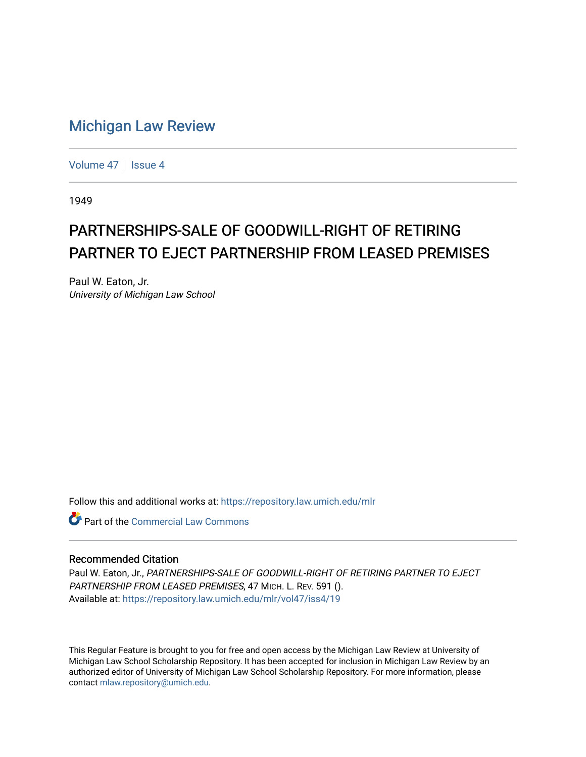## [Michigan Law Review](https://repository.law.umich.edu/mlr)

[Volume 47](https://repository.law.umich.edu/mlr/vol47) | [Issue 4](https://repository.law.umich.edu/mlr/vol47/iss4)

1949

## PARTNERSHIPS-SALE OF GOODWILL-RIGHT OF RETIRING PARTNER TO EJECT PARTNERSHIP FROM LEASED PREMISES

Paul W. Eaton, Jr. University of Michigan Law School

Follow this and additional works at: [https://repository.law.umich.edu/mlr](https://repository.law.umich.edu/mlr?utm_source=repository.law.umich.edu%2Fmlr%2Fvol47%2Fiss4%2F19&utm_medium=PDF&utm_campaign=PDFCoverPages) 

**C** Part of the [Commercial Law Commons](http://network.bepress.com/hgg/discipline/586?utm_source=repository.law.umich.edu%2Fmlr%2Fvol47%2Fiss4%2F19&utm_medium=PDF&utm_campaign=PDFCoverPages)

## Recommended Citation

Paul W. Eaton, Jr., PARTNERSHIPS-SALE OF GOODWILL-RIGHT OF RETIRING PARTNER TO EJECT PARTNERSHIP FROM LEASED PREMISES, 47 MICH. L. REV. 591 (). Available at: [https://repository.law.umich.edu/mlr/vol47/iss4/19](https://repository.law.umich.edu/mlr/vol47/iss4/19?utm_source=repository.law.umich.edu%2Fmlr%2Fvol47%2Fiss4%2F19&utm_medium=PDF&utm_campaign=PDFCoverPages) 

This Regular Feature is brought to you for free and open access by the Michigan Law Review at University of Michigan Law School Scholarship Repository. It has been accepted for inclusion in Michigan Law Review by an authorized editor of University of Michigan Law School Scholarship Repository. For more information, please contact [mlaw.repository@umich.edu](mailto:mlaw.repository@umich.edu).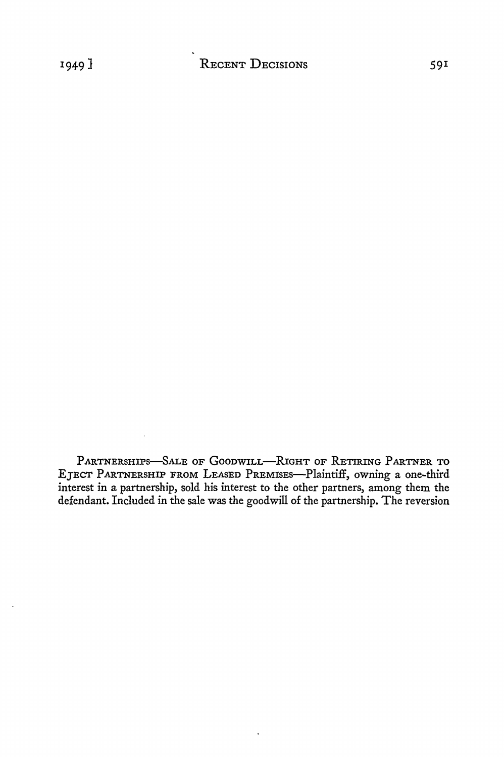PARTNERSHIPS-SALE OF GOODWILL--RIGHT OF RETIRING PARTNER TO EJECT PARTNERSHIP FROM LEASED PREMISES-Plaintiff, owning a one-third interest in a partnership, sold his interest to the other partners, among them the defendant. Included in the sale was the goodwill of the partnership. The reversion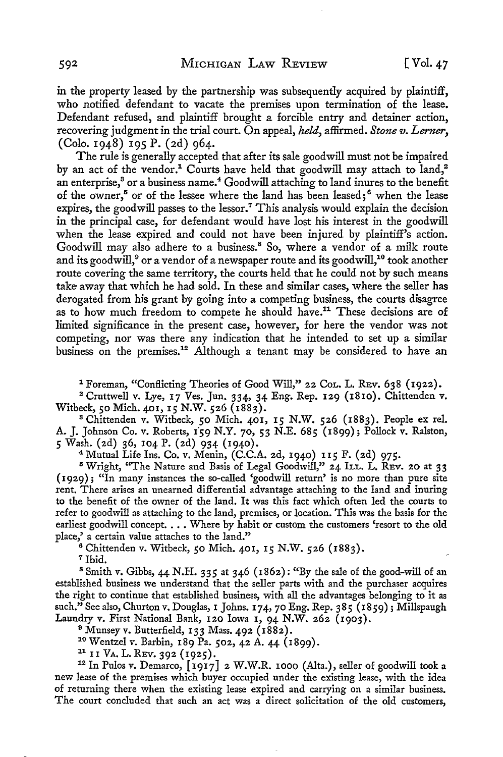in the property leased by the partnership was subsequently acquired by plaintiff, who notified defendant to vacate the premises upon termination of the lease. Defendant refused, and plaintiff brought a forcible entry and detainer action, recovering judgment in the trial court. On appeal, *held,* affirmed. *Stone v. Lerner,*  (Colo. 1948) 195 P. (2d) 964.

The rule is generally accepted that after its sale goodwill must not be impaired by an act of the vendor.<sup>1</sup> Courts have held that goodwill may attach to land,<sup>2</sup> an enterprise, $3$  or a business name. $4$  Goodwill attaching to land inures to the benefit of the owner,<sup>5</sup> or of the lessee where the land has been leased;<sup>6</sup> when the lease expires, the goodwill passes to the lessor.<sup>7</sup> This analysis would explain the decision in the principal case, for defendant would have lost his interest in the goodwill when the lease expired and could not have been injured by plaintiff's action. Goodwill may also adhere to a business.<sup>8</sup> So, where a vendor of a milk route and its goodwill,<sup>9</sup> or a vendor of a newspaper route and its goodwill,<sup>10</sup> took another route covering the same territory, the courts held that he could not by such means take away that which he had sold. In these and similar cases, where the seller has derogated from his grant by going into a competing business, the courts disagree as to how much freedom to compete he should have.11 These decisions are of limited significance in the present case, however, for here the vendor was not competing, nor was there any indication that he intended to set up a similar business on the premises.<sup>12</sup> Although a tenant may be considered to have an

<sup>1</sup> Foreman, "Conflicting Theories of Good Will," 22 CoL. L. REv. 638 (1922).

<sup>2</sup>Cruttwell v. Lye, 17 Ves. Jun. 334, 34 Eng. Rep. 129 (1810). Chittenden v. Witbeck, 50 Mich. 401, 15 N.W. 526 (1883).

<sup>8</sup>Chittenden v. Witbeck, 50 Mich. 401, 15 N.W. 526 (1883). People ex rel. A. J. Johnson Co. v. Roberts, 159 N.Y. 70, 53 N.E. 685 (1899); Pollock v. Ralston, *5* Wash. (2d) 36, 104 P. (2d) 934 (1940).

4 Mutual Life Ins. Co. v. Menin, (C.C.A. 2d, 1940) 115 F. (2d) 975.

<sup>5</sup> Wright, "The Nature and Basis of Legal Goodwill," 24 ILL. L. REV. 20 at 33 (1929); "In many instances the so-called 'goodwill return' is no more than pure site rent. There arises an unearned differential advantage attaching to the land and inuring to the benefit of the owner of the land. It was this fact which often led the courts to refer to goodwill as attaching to the land, premises, or location. This was the basis for the earliest goodwill concept. . . . Where by habit or custom the customers 'resort to the old place,' a certain value attaches to the land."

6 Chittenden v. Witbeck, 50 Mich. 401, 15 N.W. 526 (1883). <sup>7</sup>Ibid.

<sup>8</sup> Smith v. Gibbs, 44 N.H. 335 at 346 (1862): "By the sale of the good-will of an established business we understand that the seller parts with and the purchaser acquires the right to continue that established business, with all the advantages belonging to it as such." See also, Churton v. Douglas, 1 Johns. 174, 70 Eng. Rep. 385 (1859); Millspaugh Laundry v. First National Bank, 120 Iowa 1, 94 N.W. 262 (1903).

<sup>9</sup> Munsey v. Butterfield, 133 Mass. 492 (1882).<br><sup>10</sup> Wentzel v. Barbin, 189 Pa. 502, 42 A. 44 (1899).<br><sup>11</sup> II VA. L. REv. 392 (1925).<br><sup>12</sup> In Pulos v. Demarco, [1917] 2 W.W.R. 1000 (Alta.), seller of goodwill took a new lease of the premises which buyer occupied under the existing lease, with the idea of returning there when the existing lease expired and carrying on a similar business. The court concluded that such an act was a direct solicitation of the old customers,